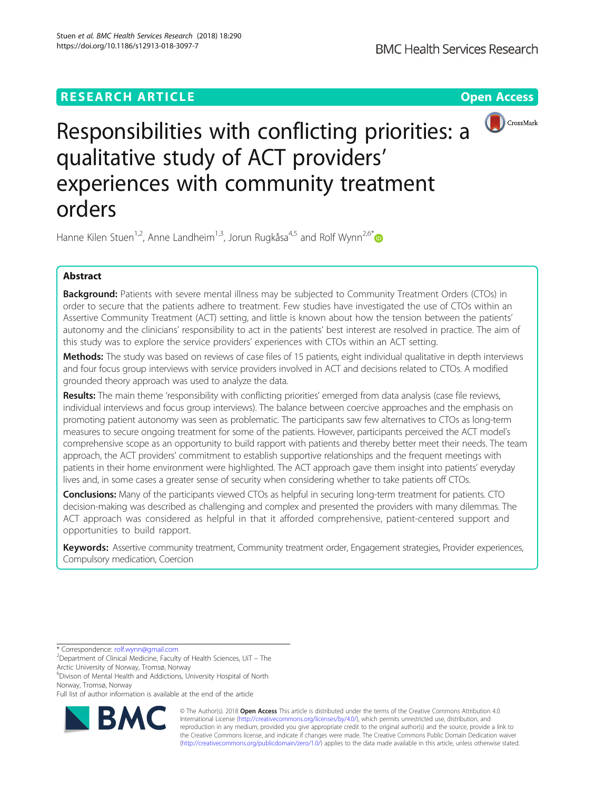# **RESEARCH ARTICLE Example 2018 12:30 THE Open Access**



# Responsibilities with conflicting priorities: a qualitative study of ACT providers' experiences with community treatment orders

Hanne Kilen Stuen<sup>1,2</sup>, Anne Landheim<sup>1,3</sup>, Jorun Rugkåsa<sup>4,5</sup> and Rolf Wynn<sup>2,6\*</sup>

# Abstract

**Background:** Patients with severe mental illness may be subjected to Community Treatment Orders (CTOs) in order to secure that the patients adhere to treatment. Few studies have investigated the use of CTOs within an Assertive Community Treatment (ACT) setting, and little is known about how the tension between the patients' autonomy and the clinicians' responsibility to act in the patients' best interest are resolved in practice. The aim of this study was to explore the service providers' experiences with CTOs within an ACT setting.

Methods: The study was based on reviews of case files of 15 patients, eight individual qualitative in depth interviews and four focus group interviews with service providers involved in ACT and decisions related to CTOs. A modified grounded theory approach was used to analyze the data.

Results: The main theme 'responsibility with conflicting priorities' emerged from data analysis (case file reviews, individual interviews and focus group interviews). The balance between coercive approaches and the emphasis on promoting patient autonomy was seen as problematic. The participants saw few alternatives to CTOs as long-term measures to secure ongoing treatment for some of the patients. However, participants perceived the ACT model's comprehensive scope as an opportunity to build rapport with patients and thereby better meet their needs. The team approach, the ACT providers' commitment to establish supportive relationships and the frequent meetings with patients in their home environment were highlighted. The ACT approach gave them insight into patients' everyday lives and, in some cases a greater sense of security when considering whether to take patients off CTOs.

Conclusions: Many of the participants viewed CTOs as helpful in securing long-term treatment for patients. CTO decision-making was described as challenging and complex and presented the providers with many dilemmas. The ACT approach was considered as helpful in that it afforded comprehensive, patient-centered support and opportunities to build rapport.

Keywords: Assertive community treatment, Community treatment order, Engagement strategies, Provider experiences, Compulsory medication, Coercion

\* Correspondence: [rolf.wynn@gmail.com](mailto:rolf.wynn@gmail.com) <sup>2</sup>

6 Divison of Mental Health and Addictions, University Hospital of North Norway, Tromsø, Norway

Full list of author information is available at the end of the article



© The Author(s). 2018 Open Access This article is distributed under the terms of the Creative Commons Attribution 4.0 International License [\(http://creativecommons.org/licenses/by/4.0/](http://creativecommons.org/licenses/by/4.0/)), which permits unrestricted use, distribution, and reproduction in any medium, provided you give appropriate credit to the original author(s) and the source, provide a link to the Creative Commons license, and indicate if changes were made. The Creative Commons Public Domain Dedication waiver [\(http://creativecommons.org/publicdomain/zero/1.0/](http://creativecommons.org/publicdomain/zero/1.0/)) applies to the data made available in this article, unless otherwise stated.

 $2$ Department of Clinical Medicine, Faculty of Health Sciences, UiT – The Arctic University of Norway, Tromsø, Norway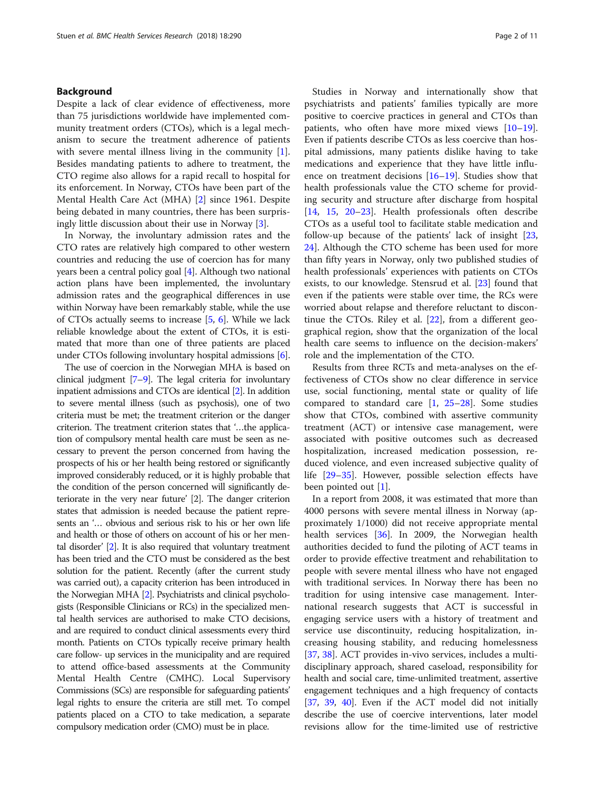# Background

Despite a lack of clear evidence of effectiveness, more than 75 jurisdictions worldwide have implemented community treatment orders (CTOs), which is a legal mechanism to secure the treatment adherence of patients with severe mental illness living in the community [\[1](#page-8-0)]. Besides mandating patients to adhere to treatment, the CTO regime also allows for a rapid recall to hospital for its enforcement. In Norway, CTOs have been part of the Mental Health Care Act (MHA) [\[2](#page-8-0)] since 1961. Despite being debated in many countries, there has been surprisingly little discussion about their use in Norway [[3\]](#page-8-0).

In Norway, the involuntary admission rates and the CTO rates are relatively high compared to other western countries and reducing the use of coercion has for many years been a central policy goal [\[4](#page-8-0)]. Although two national action plans have been implemented, the involuntary admission rates and the geographical differences in use within Norway have been remarkably stable, while the use of CTOs actually seems to increase [\[5](#page-8-0), [6](#page-8-0)]. While we lack reliable knowledge about the extent of CTOs, it is estimated that more than one of three patients are placed under CTOs following involuntary hospital admissions [[6](#page-8-0)].

The use of coercion in the Norwegian MHA is based on clinical judgment [\[7](#page-8-0)–[9\]](#page-9-0). The legal criteria for involuntary inpatient admissions and CTOs are identical [\[2](#page-8-0)]. In addition to severe mental illness (such as psychosis), one of two criteria must be met; the treatment criterion or the danger criterion. The treatment criterion states that '…the application of compulsory mental health care must be seen as necessary to prevent the person concerned from having the prospects of his or her health being restored or significantly improved considerably reduced, or it is highly probable that the condition of the person concerned will significantly deteriorate in the very near future' [2]. The danger criterion states that admission is needed because the patient represents an '… obvious and serious risk to his or her own life and health or those of others on account of his or her mental disorder' [\[2\]](#page-8-0). It is also required that voluntary treatment has been tried and the CTO must be considered as the best solution for the patient. Recently (after the current study was carried out), a capacity criterion has been introduced in the Norwegian MHA [\[2\]](#page-8-0). Psychiatrists and clinical psychologists (Responsible Clinicians or RCs) in the specialized mental health services are authorised to make CTO decisions, and are required to conduct clinical assessments every third month. Patients on CTOs typically receive primary health care follow- up services in the municipality and are required to attend office-based assessments at the Community Mental Health Centre (CMHC). Local Supervisory Commissions (SCs) are responsible for safeguarding patients' legal rights to ensure the criteria are still met. To compel patients placed on a CTO to take medication, a separate compulsory medication order (CMO) must be in place.

Studies in Norway and internationally show that psychiatrists and patients' families typically are more positive to coercive practices in general and CTOs than patients, who often have more mixed views [[10](#page-9-0)–[19](#page-9-0)]. Even if patients describe CTOs as less coercive than hospital admissions, many patients dislike having to take medications and experience that they have little influence on treatment decisions [[16](#page-9-0)–[19](#page-9-0)]. Studies show that health professionals value the CTO scheme for providing security and structure after discharge from hospital [[14,](#page-9-0) [15,](#page-9-0) [20](#page-9-0)–[23](#page-9-0)]. Health professionals often describe CTOs as a useful tool to facilitate stable medication and follow-up because of the patients' lack of insight [[23](#page-9-0), [24\]](#page-9-0). Although the CTO scheme has been used for more than fifty years in Norway, only two published studies of health professionals' experiences with patients on CTOs exists, to our knowledge. Stensrud et al. [\[23](#page-9-0)] found that even if the patients were stable over time, the RCs were worried about relapse and therefore reluctant to discontinue the CTOs. Riley et al. [\[22](#page-9-0)], from a different geographical region, show that the organization of the local health care seems to influence on the decision-makers' role and the implementation of the CTO.

Results from three RCTs and meta-analyses on the effectiveness of CTOs show no clear difference in service use, social functioning, mental state or quality of life compared to standard care [\[1](#page-8-0), [25](#page-9-0)–[28\]](#page-9-0). Some studies show that CTOs, combined with assertive community treatment (ACT) or intensive case management, were associated with positive outcomes such as decreased hospitalization, increased medication possession, reduced violence, and even increased subjective quality of life [\[29](#page-9-0)–[35\]](#page-9-0). However, possible selection effects have been pointed out [[1\]](#page-8-0).

In a report from 2008, it was estimated that more than 4000 persons with severe mental illness in Norway (approximately 1/1000) did not receive appropriate mental health services [[36\]](#page-9-0). In 2009, the Norwegian health authorities decided to fund the piloting of ACT teams in order to provide effective treatment and rehabilitation to people with severe mental illness who have not engaged with traditional services. In Norway there has been no tradition for using intensive case management. International research suggests that ACT is successful in engaging service users with a history of treatment and service use discontinuity, reducing hospitalization, increasing housing stability, and reducing homelessness [[37,](#page-9-0) [38\]](#page-9-0). ACT provides in-vivo services, includes a multidisciplinary approach, shared caseload, responsibility for health and social care, time-unlimited treatment, assertive engagement techniques and a high frequency of contacts [[37](#page-9-0), [39,](#page-9-0) [40\]](#page-9-0). Even if the ACT model did not initially describe the use of coercive interventions, later model revisions allow for the time-limited use of restrictive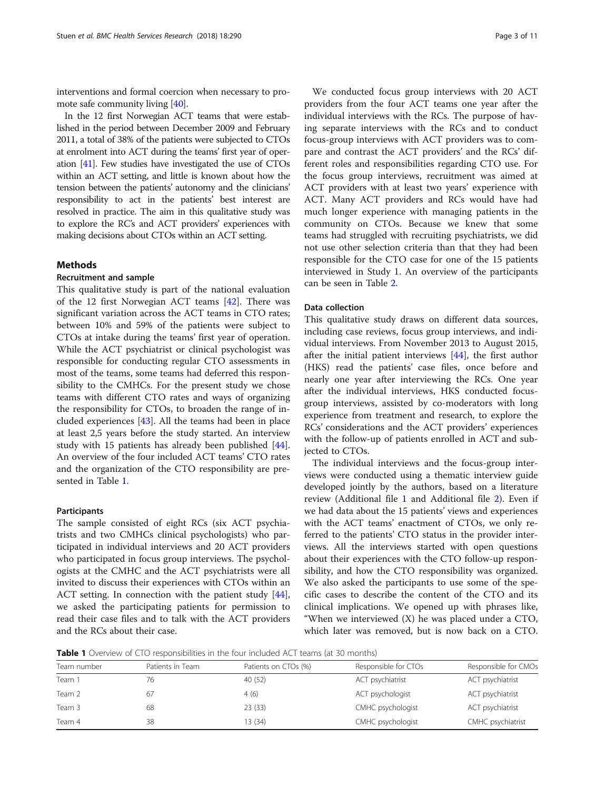interventions and formal coercion when necessary to promote safe community living [[40](#page-9-0)].

In the 12 first Norwegian ACT teams that were established in the period between December 2009 and February 2011, a total of 38% of the patients were subjected to CTOs at enrolment into ACT during the teams' first year of operation [\[41\]](#page-9-0). Few studies have investigated the use of CTOs within an ACT setting, and little is known about how the tension between the patients' autonomy and the clinicians' responsibility to act in the patients' best interest are resolved in practice. The aim in this qualitative study was to explore the RC's and ACT providers' experiences with making decisions about CTOs within an ACT setting.

# Methods

# Recruitment and sample

This qualitative study is part of the national evaluation of the 12 first Norwegian ACT teams [[42\]](#page-9-0). There was significant variation across the ACT teams in CTO rates; between 10% and 59% of the patients were subject to CTOs at intake during the teams' first year of operation. While the ACT psychiatrist or clinical psychologist was responsible for conducting regular CTO assessments in most of the teams, some teams had deferred this responsibility to the CMHCs. For the present study we chose teams with different CTO rates and ways of organizing the responsibility for CTOs, to broaden the range of included experiences [[43\]](#page-9-0). All the teams had been in place at least 2,5 years before the study started. An interview study with 15 patients has already been published [\[44](#page-9-0)]. An overview of the four included ACT teams' CTO rates and the organization of the CTO responsibility are presented in Table 1.

# Participants

The sample consisted of eight RCs (six ACT psychiatrists and two CMHCs clinical psychologists) who participated in individual interviews and 20 ACT providers who participated in focus group interviews. The psychologists at the CMHC and the ACT psychiatrists were all invited to discuss their experiences with CTOs within an ACT setting. In connection with the patient study [\[44](#page-9-0)], we asked the participating patients for permission to read their case files and to talk with the ACT providers and the RCs about their case.

We conducted focus group interviews with 20 ACT providers from the four ACT teams one year after the individual interviews with the RCs. The purpose of having separate interviews with the RCs and to conduct focus-group interviews with ACT providers was to compare and contrast the ACT providers' and the RCs' different roles and responsibilities regarding CTO use. For the focus group interviews, recruitment was aimed at ACT providers with at least two years' experience with ACT. Many ACT providers and RCs would have had much longer experience with managing patients in the community on CTOs. Because we knew that some teams had struggled with recruiting psychiatrists, we did not use other selection criteria than that they had been responsible for the CTO case for one of the 15 patients interviewed in Study 1. An overview of the participants can be seen in Table [2](#page-3-0).

#### Data collection

This qualitative study draws on different data sources, including case reviews, focus group interviews, and individual interviews. From November 2013 to August 2015, after the initial patient interviews [\[44](#page-9-0)], the first author (HKS) read the patients' case files, once before and nearly one year after interviewing the RCs. One year after the individual interviews, HKS conducted focusgroup interviews, assisted by co-moderators with long experience from treatment and research, to explore the RCs' considerations and the ACT providers' experiences with the follow-up of patients enrolled in ACT and subjected to CTOs.

The individual interviews and the focus-group interviews were conducted using a thematic interview guide developed jointly by the authors, based on a literature review (Additional file [1](#page-8-0) and Additional file [2\)](#page-8-0). Even if we had data about the 15 patients' views and experiences with the ACT teams' enactment of CTOs, we only referred to the patients' CTO status in the provider interviews. All the interviews started with open questions about their experiences with the CTO follow-up responsibility, and how the CTO responsibility was organized. We also asked the participants to use some of the specific cases to describe the content of the CTO and its clinical implications. We opened up with phrases like, "When we interviewed (X) he was placed under a CTO, which later was removed, but is now back on a CTO.

**Table 1** Overview of CTO responsibilities in the four included ACT teams (at 30 months)

| Team number | Patients in Team | Patients on CTOs (%) | Responsible for CTOs | Responsible for CMOs |  |  |  |  |
|-------------|------------------|----------------------|----------------------|----------------------|--|--|--|--|
| Team 1      | 76               | 40 (52)              | ACT psychiatrist     | ACT psychiatrist     |  |  |  |  |
| Team 2      | 67               | 4(6)                 | ACT psychologist     | ACT psychiatrist     |  |  |  |  |
| Team 3      | 68               | 23(33)               | CMHC psychologist    | ACT psychiatrist     |  |  |  |  |
| Team 4      | 38               | 13 (34)              | CMHC psychologist    | CMHC psychiatrist    |  |  |  |  |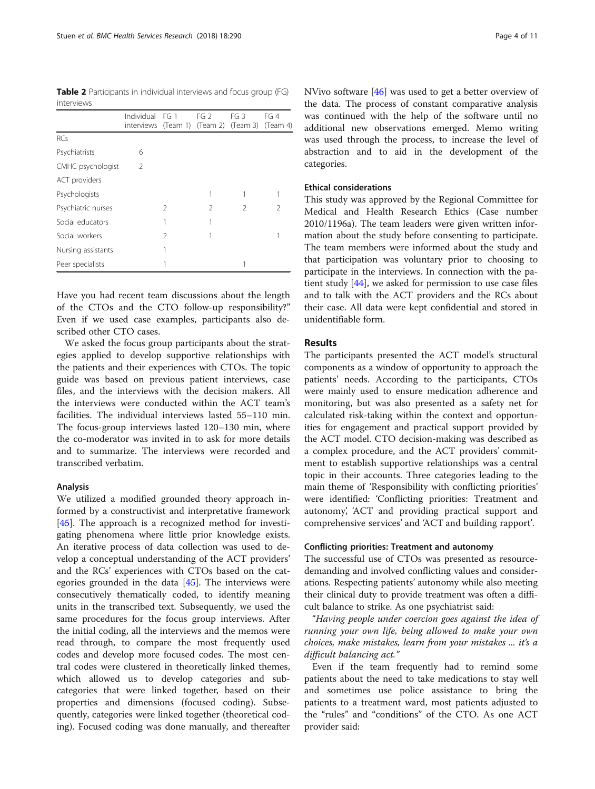<span id="page-3-0"></span>Table 2 Participants in individual interviews and focus group (FG) interviews

|                    | Individual<br>interviews (Team 1) (Team 2) (Team 3) (Team 4) | FG 1           | FG <sub>2</sub> | FG3 | FG4 |
|--------------------|--------------------------------------------------------------|----------------|-----------------|-----|-----|
| <b>RCs</b>         |                                                              |                |                 |     |     |
| Psychiatrists      | 6                                                            |                |                 |     |     |
| CMHC psychologist  | $\mathcal{P}$                                                |                |                 |     |     |
| ACT providers      |                                                              |                |                 |     |     |
| Psychologists      |                                                              |                |                 |     |     |
| Psychiatric nurses |                                                              | $\mathfrak{D}$ | $\mathcal{P}$   | 2   | 2   |
| Social educators   |                                                              |                |                 |     |     |
| Social workers     |                                                              | $\mathfrak{D}$ |                 |     |     |
| Nursing assistants |                                                              |                |                 |     |     |
| Peer specialists   |                                                              |                |                 |     |     |

Have you had recent team discussions about the length of the CTOs and the CTO follow-up responsibility?" Even if we used case examples, participants also described other CTO cases.

We asked the focus group participants about the strategies applied to develop supportive relationships with the patients and their experiences with CTOs. The topic guide was based on previous patient interviews, case files, and the interviews with the decision makers. All the interviews were conducted within the ACT team's facilities. The individual interviews lasted 55–110 min. The focus-group interviews lasted 120–130 min, where the co-moderator was invited in to ask for more details and to summarize. The interviews were recorded and transcribed verbatim.

# Analysis

We utilized a modified grounded theory approach informed by a constructivist and interpretative framework [[45\]](#page-9-0). The approach is a recognized method for investigating phenomena where little prior knowledge exists. An iterative process of data collection was used to develop a conceptual understanding of the ACT providers' and the RCs' experiences with CTOs based on the categories grounded in the data [\[45\]](#page-9-0). The interviews were consecutively thematically coded, to identify meaning units in the transcribed text. Subsequently, we used the same procedures for the focus group interviews. After the initial coding, all the interviews and the memos were read through, to compare the most frequently used codes and develop more focused codes. The most central codes were clustered in theoretically linked themes, which allowed us to develop categories and subcategories that were linked together, based on their properties and dimensions (focused coding). Subsequently, categories were linked together (theoretical coding). Focused coding was done manually, and thereafter NVivo software [[46\]](#page-9-0) was used to get a better overview of the data. The process of constant comparative analysis was continued with the help of the software until no additional new observations emerged. Memo writing was used through the process, to increase the level of abstraction and to aid in the development of the categories.

#### Ethical considerations

This study was approved by the Regional Committee for Medical and Health Research Ethics (Case number 2010/1196a). The team leaders were given written information about the study before consenting to participate. The team members were informed about the study and that participation was voluntary prior to choosing to participate in the interviews. In connection with the patient study [\[44](#page-9-0)], we asked for permission to use case files and to talk with the ACT providers and the RCs about their case. All data were kept confidential and stored in unidentifiable form.

# Results

The participants presented the ACT model's structural components as a window of opportunity to approach the patients' needs. According to the participants, CTOs were mainly used to ensure medication adherence and monitoring, but was also presented as a safety net for calculated risk-taking within the context and opportunities for engagement and practical support provided by the ACT model. CTO decision-making was described as a complex procedure, and the ACT providers' commitment to establish supportive relationships was a central topic in their accounts. Three categories leading to the main theme of 'Responsibility with conflicting priorities' were identified: 'Conflicting priorities: Treatment and autonomy', 'ACT and providing practical support and comprehensive services' and 'ACT and building rapport'.

#### Conflicting priorities: Treatment and autonomy

The successful use of CTOs was presented as resourcedemanding and involved conflicting values and considerations. Respecting patients' autonomy while also meeting their clinical duty to provide treatment was often a difficult balance to strike. As one psychiatrist said:

"Having people under coercion goes against the idea of running your own life, being allowed to make your own choices, make mistakes, learn from your mistakes ... it's a difficult balancing act."

Even if the team frequently had to remind some patients about the need to take medications to stay well and sometimes use police assistance to bring the patients to a treatment ward, most patients adjusted to the "rules" and "conditions" of the CTO. As one ACT provider said: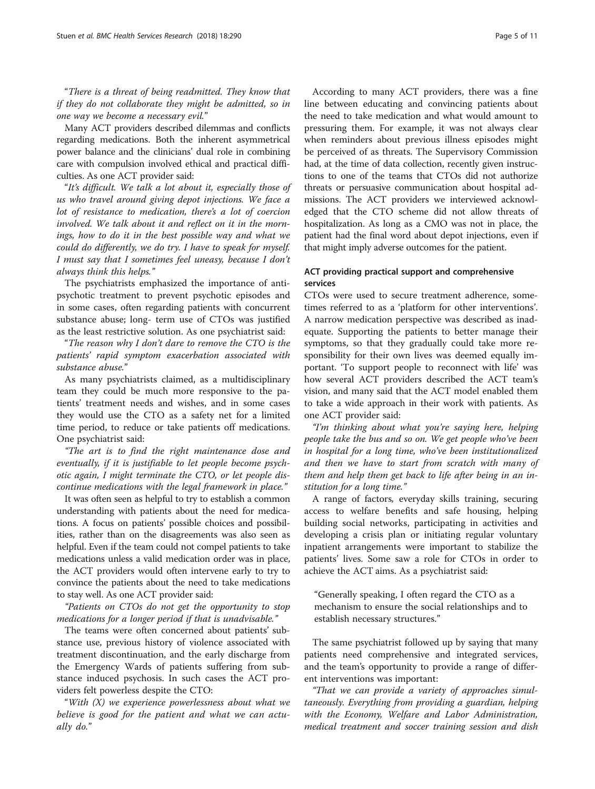"There is a threat of being readmitted. They know that if they do not collaborate they might be admitted, so in one way we become a necessary evil."

Many ACT providers described dilemmas and conflicts regarding medications. Both the inherent asymmetrical power balance and the clinicians' dual role in combining care with compulsion involved ethical and practical difficulties. As one ACT provider said:

"It's difficult. We talk a lot about it, especially those of us who travel around giving depot injections. We face a lot of resistance to medication, there's a lot of coercion involved. We talk about it and reflect on it in the mornings, how to do it in the best possible way and what we could do differently, we do try. I have to speak for myself. I must say that I sometimes feel uneasy, because I don't always think this helps."

The psychiatrists emphasized the importance of antipsychotic treatment to prevent psychotic episodes and in some cases, often regarding patients with concurrent substance abuse; long- term use of CTOs was justified as the least restrictive solution. As one psychiatrist said:

"The reason why I don't dare to remove the CTO is the patients' rapid symptom exacerbation associated with substance abuse."

As many psychiatrists claimed, as a multidisciplinary team they could be much more responsive to the patients' treatment needs and wishes, and in some cases they would use the CTO as a safety net for a limited time period, to reduce or take patients off medications. One psychiatrist said:

"The art is to find the right maintenance dose and eventually, if it is justifiable to let people become psychotic again, I might terminate the CTO, or let people discontinue medications with the legal framework in place."

It was often seen as helpful to try to establish a common understanding with patients about the need for medications. A focus on patients' possible choices and possibilities, rather than on the disagreements was also seen as helpful. Even if the team could not compel patients to take medications unless a valid medication order was in place, the ACT providers would often intervene early to try to convince the patients about the need to take medications to stay well. As one ACT provider said:

"Patients on CTOs do not get the opportunity to stop medications for a longer period if that is unadvisable."

The teams were often concerned about patients' substance use, previous history of violence associated with treatment discontinuation, and the early discharge from the Emergency Wards of patients suffering from substance induced psychosis. In such cases the ACT providers felt powerless despite the CTO:

"With  $(X)$  we experience powerlessness about what we believe is good for the patient and what we can actually do."

According to many ACT providers, there was a fine line between educating and convincing patients about the need to take medication and what would amount to pressuring them. For example, it was not always clear when reminders about previous illness episodes might be perceived of as threats. The Supervisory Commission had, at the time of data collection, recently given instructions to one of the teams that CTOs did not authorize threats or persuasive communication about hospital admissions. The ACT providers we interviewed acknowledged that the CTO scheme did not allow threats of hospitalization. As long as a CMO was not in place, the patient had the final word about depot injections, even if that might imply adverse outcomes for the patient.

# ACT providing practical support and comprehensive services

CTOs were used to secure treatment adherence, sometimes referred to as a 'platform for other interventions'. A narrow medication perspective was described as inadequate. Supporting the patients to better manage their symptoms, so that they gradually could take more responsibility for their own lives was deemed equally important. 'To support people to reconnect with life' was how several ACT providers described the ACT team's vision, and many said that the ACT model enabled them to take a wide approach in their work with patients. As one ACT provider said:

"I'm thinking about what you're saying here, helping people take the bus and so on. We get people who've been in hospital for a long time, who've been institutionalized and then we have to start from scratch with many of them and help them get back to life after being in an institution for a long time."

A range of factors, everyday skills training, securing access to welfare benefits and safe housing, helping building social networks, participating in activities and developing a crisis plan or initiating regular voluntary inpatient arrangements were important to stabilize the patients' lives. Some saw a role for CTOs in order to achieve the ACT aims. As a psychiatrist said:

"Generally speaking, I often regard the CTO as a mechanism to ensure the social relationships and to establish necessary structures."

The same psychiatrist followed up by saying that many patients need comprehensive and integrated services, and the team's opportunity to provide a range of different interventions was important:

"That we can provide a variety of approaches simultaneously. Everything from providing a guardian, helping with the Economy, Welfare and Labor Administration, medical treatment and soccer training session and dish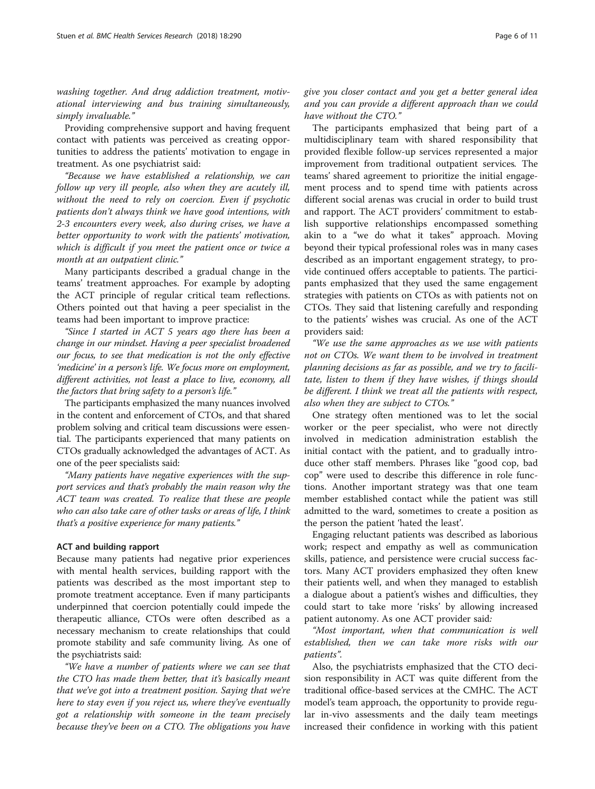washing together. And drug addiction treatment, motivational interviewing and bus training simultaneously, simply invaluable."

Providing comprehensive support and having frequent contact with patients was perceived as creating opportunities to address the patients' motivation to engage in treatment. As one psychiatrist said:

"Because we have established a relationship, we can follow up very ill people, also when they are acutely ill, without the need to rely on coercion. Even if psychotic patients don't always think we have good intentions, with 2-3 encounters every week, also during crises, we have a better opportunity to work with the patients' motivation, which is difficult if you meet the patient once or twice a month at an outpatient clinic."

Many participants described a gradual change in the teams' treatment approaches. For example by adopting the ACT principle of regular critical team reflections. Others pointed out that having a peer specialist in the teams had been important to improve practice:

"Since I started in ACT 5 years ago there has been a change in our mindset. Having a peer specialist broadened our focus, to see that medication is not the only effective 'medicine' in a person's life. We focus more on employment, different activities, not least a place to live, economy, all the factors that bring safety to a person's life."

The participants emphasized the many nuances involved in the content and enforcement of CTOs, and that shared problem solving and critical team discussions were essential. The participants experienced that many patients on CTOs gradually acknowledged the advantages of ACT. As one of the peer specialists said:

"Many patients have negative experiences with the support services and that's probably the main reason why the ACT team was created. To realize that these are people who can also take care of other tasks or areas of life, I think that's a positive experience for many patients."

#### ACT and building rapport

Because many patients had negative prior experiences with mental health services, building rapport with the patients was described as the most important step to promote treatment acceptance. Even if many participants underpinned that coercion potentially could impede the therapeutic alliance, CTOs were often described as a necessary mechanism to create relationships that could promote stability and safe community living. As one of the psychiatrists said:

"We have a number of patients where we can see that the CTO has made them better, that it's basically meant that we've got into a treatment position. Saying that we're here to stay even if you reject us, where they've eventually got a relationship with someone in the team precisely because they've been on a CTO. The obligations you have give you closer contact and you get a better general idea and you can provide a different approach than we could have without the CTO."

The participants emphasized that being part of a multidisciplinary team with shared responsibility that provided flexible follow-up services represented a major improvement from traditional outpatient services. The teams' shared agreement to prioritize the initial engagement process and to spend time with patients across different social arenas was crucial in order to build trust and rapport. The ACT providers' commitment to establish supportive relationships encompassed something akin to a "we do what it takes" approach. Moving beyond their typical professional roles was in many cases described as an important engagement strategy, to provide continued offers acceptable to patients. The participants emphasized that they used the same engagement strategies with patients on CTOs as with patients not on CTOs. They said that listening carefully and responding to the patients' wishes was crucial. As one of the ACT providers said:

"We use the same approaches as we use with patients not on CTOs. We want them to be involved in treatment planning decisions as far as possible, and we try to facilitate, listen to them if they have wishes, if things should be different. I think we treat all the patients with respect, also when they are subject to CTOs."

One strategy often mentioned was to let the social worker or the peer specialist, who were not directly involved in medication administration establish the initial contact with the patient, and to gradually introduce other staff members. Phrases like "good cop, bad cop" were used to describe this difference in role functions. Another important strategy was that one team member established contact while the patient was still admitted to the ward, sometimes to create a position as the person the patient 'hated the least'.

Engaging reluctant patients was described as laborious work; respect and empathy as well as communication skills, patience, and persistence were crucial success factors. Many ACT providers emphasized they often knew their patients well, and when they managed to establish a dialogue about a patient's wishes and difficulties, they could start to take more 'risks' by allowing increased patient autonomy. As one ACT provider said:

"Most important, when that communication is well established, then we can take more risks with our patients".

Also, the psychiatrists emphasized that the CTO decision responsibility in ACT was quite different from the traditional office-based services at the CMHC. The ACT model's team approach, the opportunity to provide regular in-vivo assessments and the daily team meetings increased their confidence in working with this patient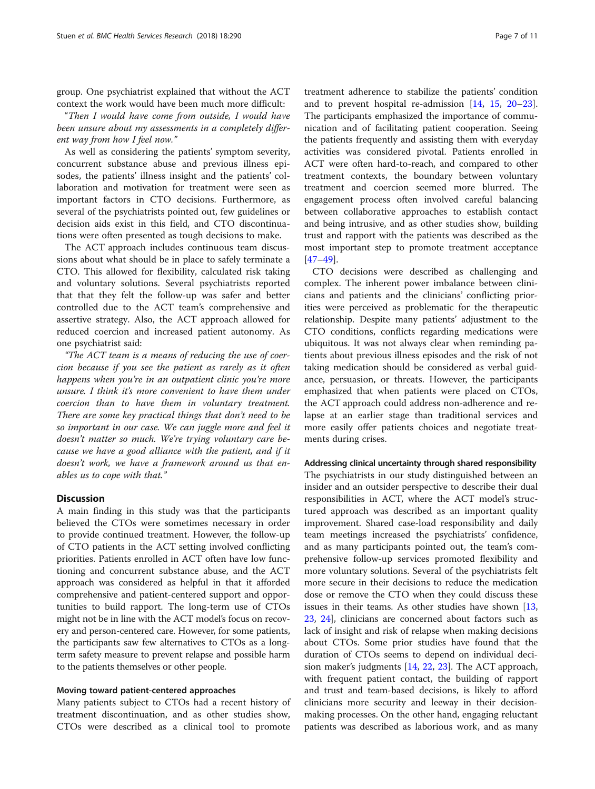group. One psychiatrist explained that without the ACT context the work would have been much more difficult:

"Then I would have come from outside, I would have been unsure about my assessments in a completely different way from how I feel now."

As well as considering the patients' symptom severity, concurrent substance abuse and previous illness episodes, the patients' illness insight and the patients' collaboration and motivation for treatment were seen as important factors in CTO decisions. Furthermore, as several of the psychiatrists pointed out, few guidelines or decision aids exist in this field, and CTO discontinuations were often presented as tough decisions to make.

The ACT approach includes continuous team discussions about what should be in place to safely terminate a CTO. This allowed for flexibility, calculated risk taking and voluntary solutions. Several psychiatrists reported that that they felt the follow-up was safer and better controlled due to the ACT team's comprehensive and assertive strategy. Also, the ACT approach allowed for reduced coercion and increased patient autonomy. As one psychiatrist said:

"The ACT team is a means of reducing the use of coercion because if you see the patient as rarely as it often happens when you're in an outpatient clinic you're more unsure. I think it's more convenient to have them under coercion than to have them in voluntary treatment. There are some key practical things that don't need to be so important in our case. We can juggle more and feel it doesn't matter so much. We're trying voluntary care because we have a good alliance with the patient, and if it doesn't work, we have a framework around us that enables us to cope with that."

#### **Discussion**

A main finding in this study was that the participants believed the CTOs were sometimes necessary in order to provide continued treatment. However, the follow-up of CTO patients in the ACT setting involved conflicting priorities. Patients enrolled in ACT often have low functioning and concurrent substance abuse, and the ACT approach was considered as helpful in that it afforded comprehensive and patient-centered support and opportunities to build rapport. The long-term use of CTOs might not be in line with the ACT model's focus on recovery and person-centered care. However, for some patients, the participants saw few alternatives to CTOs as a longterm safety measure to prevent relapse and possible harm to the patients themselves or other people.

#### Moving toward patient-centered approaches

Many patients subject to CTOs had a recent history of treatment discontinuation, and as other studies show, CTOs were described as a clinical tool to promote

treatment adherence to stabilize the patients' condition and to prevent hospital re-admission [\[14](#page-9-0), [15](#page-9-0), [20](#page-9-0)–[23](#page-9-0)]. The participants emphasized the importance of communication and of facilitating patient cooperation. Seeing the patients frequently and assisting them with everyday activities was considered pivotal. Patients enrolled in ACT were often hard-to-reach, and compared to other treatment contexts, the boundary between voluntary treatment and coercion seemed more blurred. The engagement process often involved careful balancing between collaborative approaches to establish contact and being intrusive, and as other studies show, building trust and rapport with the patients was described as the most important step to promote treatment acceptance [[47](#page-9-0)–[49](#page-9-0)].

CTO decisions were described as challenging and complex. The inherent power imbalance between clinicians and patients and the clinicians' conflicting priorities were perceived as problematic for the therapeutic relationship. Despite many patients' adjustment to the CTO conditions, conflicts regarding medications were ubiquitous. It was not always clear when reminding patients about previous illness episodes and the risk of not taking medication should be considered as verbal guidance, persuasion, or threats. However, the participants emphasized that when patients were placed on CTOs, the ACT approach could address non-adherence and relapse at an earlier stage than traditional services and more easily offer patients choices and negotiate treatments during crises.

Addressing clinical uncertainty through shared responsibility

The psychiatrists in our study distinguished between an insider and an outsider perspective to describe their dual responsibilities in ACT, where the ACT model's structured approach was described as an important quality improvement. Shared case-load responsibility and daily team meetings increased the psychiatrists' confidence, and as many participants pointed out, the team's comprehensive follow-up services promoted flexibility and more voluntary solutions. Several of the psychiatrists felt more secure in their decisions to reduce the medication dose or remove the CTO when they could discuss these issues in their teams. As other studies have shown [[13](#page-9-0), [23,](#page-9-0) [24](#page-9-0)], clinicians are concerned about factors such as lack of insight and risk of relapse when making decisions about CTOs. Some prior studies have found that the duration of CTOs seems to depend on individual decision maker's judgments [\[14,](#page-9-0) [22](#page-9-0), [23](#page-9-0)]. The ACT approach, with frequent patient contact, the building of rapport and trust and team-based decisions, is likely to afford clinicians more security and leeway in their decisionmaking processes. On the other hand, engaging reluctant patients was described as laborious work, and as many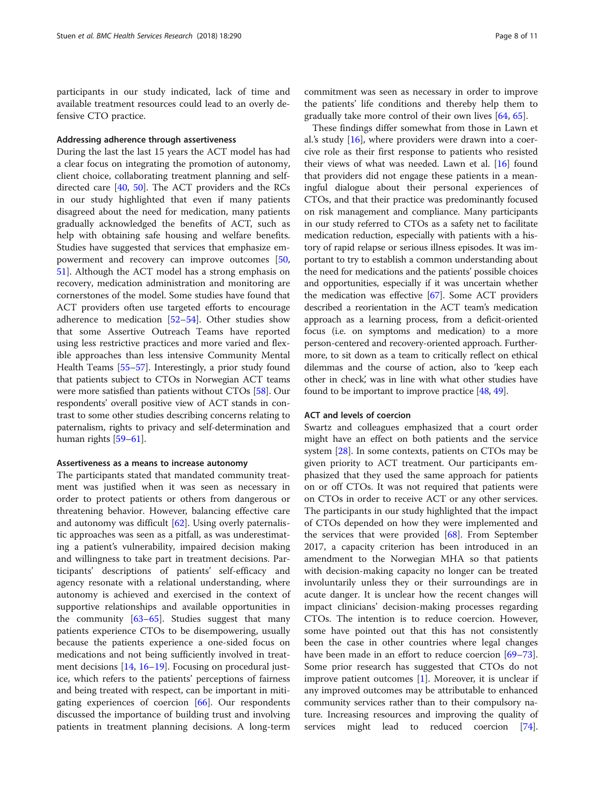participants in our study indicated, lack of time and available treatment resources could lead to an overly defensive CTO practice.

# Addressing adherence through assertiveness

During the last the last 15 years the ACT model has had a clear focus on integrating the promotion of autonomy, client choice, collaborating treatment planning and selfdirected care [[40](#page-9-0), [50](#page-9-0)]. The ACT providers and the RCs in our study highlighted that even if many patients disagreed about the need for medication, many patients gradually acknowledged the benefits of ACT, such as help with obtaining safe housing and welfare benefits. Studies have suggested that services that emphasize empowerment and recovery can improve outcomes [[50](#page-9-0), [51\]](#page-9-0). Although the ACT model has a strong emphasis on recovery, medication administration and monitoring are cornerstones of the model. Some studies have found that ACT providers often use targeted efforts to encourage adherence to medication  $[52-54]$  $[52-54]$  $[52-54]$  $[52-54]$  $[52-54]$ . Other studies show that some Assertive Outreach Teams have reported using less restrictive practices and more varied and flexible approaches than less intensive Community Mental Health Teams [\[55](#page-9-0)–[57](#page-9-0)]. Interestingly, a prior study found that patients subject to CTOs in Norwegian ACT teams were more satisfied than patients without CTOs [\[58](#page-10-0)]. Our respondents' overall positive view of ACT stands in contrast to some other studies describing concerns relating to paternalism, rights to privacy and self-determination and human rights [\[59](#page-10-0)–[61](#page-10-0)].

#### Assertiveness as a means to increase autonomy

The participants stated that mandated community treatment was justified when it was seen as necessary in order to protect patients or others from dangerous or threatening behavior. However, balancing effective care and autonomy was difficult  $[62]$  $[62]$ . Using overly paternalistic approaches was seen as a pitfall, as was underestimating a patient's vulnerability, impaired decision making and willingness to take part in treatment decisions. Participants' descriptions of patients' self-efficacy and agency resonate with a relational understanding, where autonomy is achieved and exercised in the context of supportive relationships and available opportunities in the community [[63](#page-10-0)–[65](#page-10-0)]. Studies suggest that many patients experience CTOs to be disempowering, usually because the patients experience a one-sided focus on medications and not being sufficiently involved in treat-ment decisions [\[14,](#page-9-0) [16](#page-9-0)–[19\]](#page-9-0). Focusing on procedural justice, which refers to the patients' perceptions of fairness and being treated with respect, can be important in mitigating experiences of coercion [[66\]](#page-10-0). Our respondents discussed the importance of building trust and involving patients in treatment planning decisions. A long-term

commitment was seen as necessary in order to improve the patients' life conditions and thereby help them to gradually take more control of their own lives [[64,](#page-10-0) [65](#page-10-0)].

These findings differ somewhat from those in Lawn et al.'s study [[16\]](#page-9-0), where providers were drawn into a coercive role as their first response to patients who resisted their views of what was needed. Lawn et al. [[16\]](#page-9-0) found that providers did not engage these patients in a meaningful dialogue about their personal experiences of CTOs, and that their practice was predominantly focused on risk management and compliance. Many participants in our study referred to CTOs as a safety net to facilitate medication reduction, especially with patients with a history of rapid relapse or serious illness episodes. It was important to try to establish a common understanding about the need for medications and the patients' possible choices and opportunities, especially if it was uncertain whether the medication was effective [[67](#page-10-0)]. Some ACT providers described a reorientation in the ACT team's medication approach as a learning process, from a deficit-oriented focus (i.e. on symptoms and medication) to a more person-centered and recovery-oriented approach. Furthermore, to sit down as a team to critically reflect on ethical dilemmas and the course of action, also to 'keep each other in check', was in line with what other studies have found to be important to improve practice [[48,](#page-9-0) [49\]](#page-9-0).

#### ACT and levels of coercion

Swartz and colleagues emphasized that a court order might have an effect on both patients and the service system [[28](#page-9-0)]. In some contexts, patients on CTOs may be given priority to ACT treatment. Our participants emphasized that they used the same approach for patients on or off CTOs. It was not required that patients were on CTOs in order to receive ACT or any other services. The participants in our study highlighted that the impact of CTOs depended on how they were implemented and the services that were provided [\[68\]](#page-10-0). From September 2017, a capacity criterion has been introduced in an amendment to the Norwegian MHA so that patients with decision-making capacity no longer can be treated involuntarily unless they or their surroundings are in acute danger. It is unclear how the recent changes will impact clinicians' decision-making processes regarding CTOs. The intention is to reduce coercion. However, some have pointed out that this has not consistently been the case in other countries where legal changes have been made in an effort to reduce coercion [[69](#page-10-0)–[73](#page-10-0)]. Some prior research has suggested that CTOs do not improve patient outcomes  $[1]$  $[1]$  $[1]$ . Moreover, it is unclear if any improved outcomes may be attributable to enhanced community services rather than to their compulsory nature. Increasing resources and improving the quality of services might lead to reduced coercion [[74](#page-10-0)].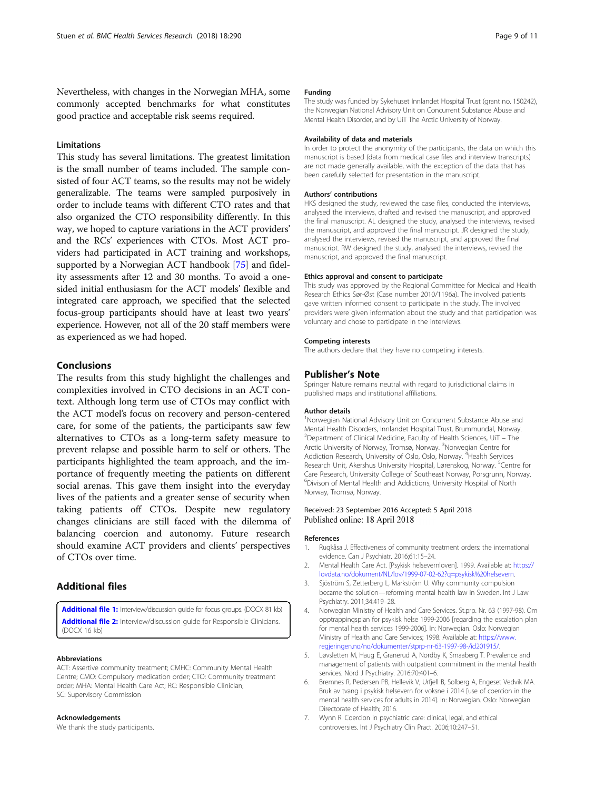<span id="page-8-0"></span>Nevertheless, with changes in the Norwegian MHA, some commonly accepted benchmarks for what constitutes good practice and acceptable risk seems required.

#### Limitations

This study has several limitations. The greatest limitation is the small number of teams included. The sample consisted of four ACT teams, so the results may not be widely generalizable. The teams were sampled purposively in order to include teams with different CTO rates and that also organized the CTO responsibility differently. In this way, we hoped to capture variations in the ACT providers' and the RCs' experiences with CTOs. Most ACT providers had participated in ACT training and workshops, supported by a Norwegian ACT handbook [\[75\]](#page-10-0) and fidelity assessments after 12 and 30 months. To avoid a onesided initial enthusiasm for the ACT models' flexible and integrated care approach, we specified that the selected focus-group participants should have at least two years' experience. However, not all of the 20 staff members were as experienced as we had hoped.

# Conclusions

The results from this study highlight the challenges and complexities involved in CTO decisions in an ACT context. Although long term use of CTOs may conflict with the ACT model's focus on recovery and person-centered care, for some of the patients, the participants saw few alternatives to CTOs as a long-term safety measure to prevent relapse and possible harm to self or others. The participants highlighted the team approach, and the importance of frequently meeting the patients on different social arenas. This gave them insight into the everyday lives of the patients and a greater sense of security when taking patients off CTOs. Despite new regulatory changes clinicians are still faced with the dilemma of balancing coercion and autonomy. Future research should examine ACT providers and clients' perspectives of CTOs over time.

# Additional files

[Additional file 1:](https://doi.org/10.1186/s12913-018-3097-7) Interview/discussion guide for focus groups. (DOCX 81 kb) [Additional file 2:](https://doi.org/10.1186/s12913-018-3097-7) Interview/discussion guide for Responsible Clinicians. (DOCX 16 kb)

#### **Abbreviations**

ACT: Assertive community treatment; CMHC: Community Mental Health Centre; CMO: Compulsory medication order; CTO: Community treatment order; MHA: Mental Health Care Act; RC: Responsible Clinician; SC: Supervisory Commission

#### Acknowledgements

We thank the study participants.

#### Funding

The study was funded by Sykehuset Innlandet Hospital Trust (grant no. 150242), the Norwegian National Advisory Unit on Concurrent Substance Abuse and Mental Health Disorder, and by UiT The Arctic University of Norway.

#### Availability of data and materials

In order to protect the anonymity of the participants, the data on which this manuscript is based (data from medical case files and interview transcripts) are not made generally available, with the exception of the data that has been carefully selected for presentation in the manuscript.

#### Authors' contributions

HKS designed the study, reviewed the case files, conducted the interviews, analysed the interviews, drafted and revised the manuscript, and approved the final manuscript. AL designed the study, analysed the interviews, revised the manuscript, and approved the final manuscript. JR designed the study, analysed the interviews, revised the manuscript, and approved the final manuscript. RW designed the study, analysed the interviews, revised the manuscript, and approved the final manuscript.

#### Ethics approval and consent to participate

This study was approved by the Regional Committee for Medical and Health Research Ethics Sør-Øst (Case number 2010/1196a). The involved patients gave written informed consent to participate in the study. The involved providers were given information about the study and that participation was voluntary and chose to participate in the interviews.

#### Competing interests

The authors declare that they have no competing interests.

#### Publisher's Note

Springer Nature remains neutral with regard to jurisdictional claims in published maps and institutional affiliations.

#### Author details

<sup>1</sup>Norwegian National Advisory Unit on Concurrent Substance Abuse and Mental Health Disorders, Innlandet Hospital Trust, Brummundal, Norway. <sup>2</sup>Department of Clinical Medicine, Faculty of Health Sciences, UiT - The Arctic University of Norway, Tromsø, Norway. <sup>3</sup>Norwegian Centre for Addiction Research, University of Oslo, Oslo, Norway. <sup>4</sup> Health Services Research Unit, Akershus University Hospital, Lørenskog, Norway. <sup>5</sup>Centre for Care Research, University College of Southeast Norway, Porsgrunn, Norway. 6 Divison of Mental Health and Addictions, University Hospital of North Norway, Tromsø, Norway.

# Received: 23 September 2016 Accepted: 5 April 2018 Published online: 18 April 2018

#### References

- 1. Rugkåsa J. Effectiveness of community treatment orders: the international evidence. Can J Psychiatr. 2016;61:15–24.
- 2. Mental Health Care Act. [Psykisk helsevernloven]. 1999. Available at: [https://](https://lovdata.no/dokument/NL/lov/1999-07-02-62?q=psykisk%20helsevern) [lovdata.no/dokument/NL/lov/1999-07-02-62?q=psykisk%20helsevern.](https://lovdata.no/dokument/NL/lov/1999-07-02-62?q=psykisk%20helsevern)
- 3. Sjöström S, Zetterberg L, Markström U. Why community compulsion became the solution—reforming mental health law in Sweden. Int J Law Psychiatry. 2011;34:419–28.
- 4. Norwegian Ministry of Health and Care Services. St.prp. Nr. 63 (1997-98). Om opptrappingsplan for psykisk helse 1999-2006 [regarding the escalation plan for mental health services 1999-2006]. In: Norwegian. Oslo: Norwegian Ministry of Health and Care Services; 1998. Available at: [https://www.](https://www.regjeringen.no/no/dokumenter/stprp-nr-63-1997-98-/id201915/) [regjeringen.no/no/dokumenter/stprp-nr-63-1997-98-/id201915/.](https://www.regjeringen.no/no/dokumenter/stprp-nr-63-1997-98-/id201915/)
- 5. Løvsletten M, Haug E, Granerud A, Nordby K, Smaaberg T. Prevalence and management of patients with outpatient commitment in the mental health services. Nord J Psychiatry. 2016;70:401-6.
- 6. Bremnes R, Pedersen PB, Hellevik V, Urfjell B, Solberg A, Engeset Vedvik MA. Bruk av tvang i psykisk helsevern for voksne i 2014 [use of coercion in the mental health services for adults in 2014]. In: Norwegian. Oslo: Norwegian Directorate of Health; 2016.
- 7. Wynn R. Coercion in psychiatric care: clinical, legal, and ethical controversies. Int J Psychiatry Clin Pract. 2006;10:247–51.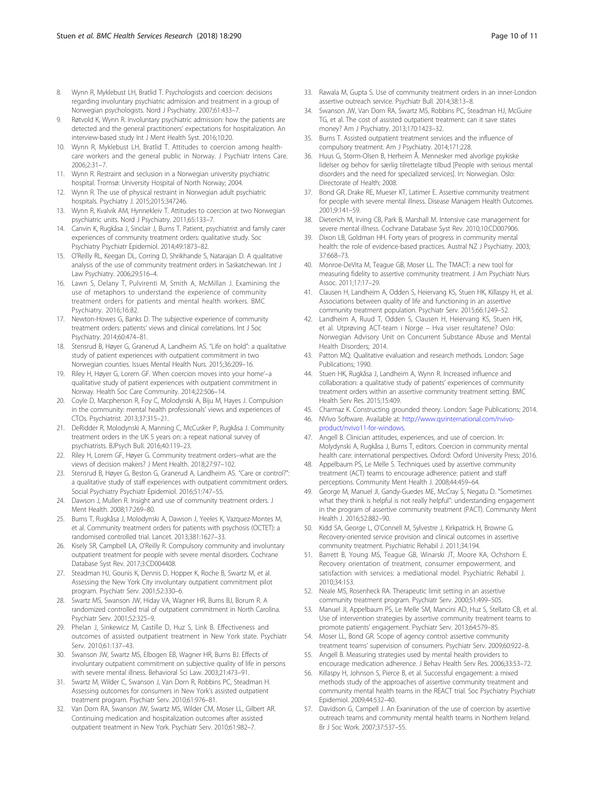- <span id="page-9-0"></span>8. Wynn R, Myklebust LH, Bratlid T. Psychologists and coercion: decisions regarding involuntary psychiatric admission and treatment in a group of Norwegian psychologists. Nord J Psychiatry. 2007;61:433–7.
- Røtvold K, Wynn R. Involuntary psychiatric admission: how the patients are detected and the general practitioners' expectations for hospitalization. An interview-based study Int J Ment Health Syst. 2016;10:20.
- 10. Wynn R, Myklebust LH, Bratlid T. Attitudes to coercion among healthcare workers and the general public in Norway. J Psychiatr Intens Care. 2006;2:31–7.
- 11. Wynn R. Restraint and seclusion in a Norwegian university psychiatric hospital. Tromsø: University Hospital of North Norway; 2004.
- 12. Wynn R. The use of physical restraint in Norwegian adult psychiatric hospitals. Psychiatry J. 2015;2015:347246.
- 13. Wynn R, Kvalvik AM, Hynnekleiv T. Attitudes to coercion at two Norwegian psychiatric units. Nord J Psychiatry. 2011;65:133–7.
- 14. Canvin K, Rugkåsa J, Sinclair J, Burns T. Patient, psychiatrist and family carer experiences of community treatment orders: qualitative study. Soc Psychiatry Psychiatr Epidemiol. 2014;49:1873–82.
- 15. O'Reilly RL, Keegan DL, Corring D, Shrikhande S, Natarajan D. A qualitative analysis of the use of community treatment orders in Saskatchewan. Int J Law Psychiatry. 2006;29:516–4.
- 16. Lawn S, Delany T, Pulvirenti M, Smith A, McMillan J. Examining the use of metaphors to understand the experience of community treatment orders for patients and mental health workers. BMC Psychiatry. 2016;16:82.
- 17. Newton-Howes G, Banks D. The subjective experience of community treatment orders: patients' views and clinical correlations. Int J Soc Psychiatry. 2014;60:474–81.
- 18. Stensrud B, Høyer G, Granerud A, Landheim AS. "Life on hold": a qualitative study of patient experiences with outpatient commitment in two Norwegian counties. Issues Mental Health Nurs. 2015;36:209–16.
- 19. Riley H, Høyer G, Lorem GF. When coercion moves into your home'–a qualitative study of patient experiences with outpatient commitment in Norway. Health Soc Care Community. 2014;22:506–14.
- 20. Coyle D, Macpherson R, Foy C, Molodynski A, Biju M, Hayes J. Compulsion in the community: mental health professionals' views and experiences of CTOs. Psychiatrist. 2013;37:315–21.
- 21. DeRidder R, Molodynski A, Manning C, McCusker P, Rugkåsa J. Community treatment orders in the UK 5 years on: a repeat national survey of psychiatrists. BJPsych Bull. 2016;40:119–23.
- 22. Riley H, Lorem GF, Høyer G. Community treatment orders–what are the views of decision makers? J Ment Health. 2018;27:97–102.
- 23. Stensrud B, Høyer G, Beston G, Granerud A, Landheim AS. "Care or control?": a qualitative study of staff experiences with outpatient commitment orders. Social Psychiatry Psychiatr Epidemiol. 2016;51:747–55.
- 24. Dawson J, Mullen R. Insight and use of community treatment orders. J Ment Health. 2008;17:269–80.
- 25. Burns T, Rugkåsa J, Molodynski A, Dawson J, Yeeles K, Vazquez-Montes M, et al. Community treatment orders for patients with psychosis (OCTET): a randomised controlled trial. Lancet. 2013;381:1627–33.
- 26. Kisely SR, Campbell LA, O'Reilly R. Compulsory community and involuntary outpatient treatment for people with severe mental disorders. Cochrane Database Syst Rev. 2017;3:CD004408.
- 27. Steadman HJ, Gounis K, Dennis D, Hopper K, Roche B, Swartz M, et al. Assessing the New York City involuntary outpatient commitment pilot program. Psychiatr Serv. 2001;52:330–6.
- 28. Swartz MS, Swanson JW, Hiday VA, Wagner HR, Burns BJ, Borum R. A randomized controlled trial of outpatient commitment in North Carolina. Psychiatr Serv. 2001;52:325–9.
- 29. Phelan J, Sinkewicz M, Castille D, Huz S, Link B. Effectiveness and outcomes of assisted outpatient treatment in New York state. Psychiatr Serv. 2010;61:137–43.
- 30. Swanson JW, Swartz MS, Elbogen EB, Wagner HR, Burns BJ. Effects of involuntary outpatient commitment on subjective quality of life in persons with severe mental illness. Behavioral Sci Law. 2003;21:473–91.
- 31. Swartz M, Wilder C, Swanson J, Van Dorn R, Robbins PC, Steadman H. Assessing outcomes for consumers in New York's assisted outpatient treatment program. Psychiatr Serv. 2010;61:976–81.
- 32. Van Dorn RA, Swanson JW, Swartz MS, Wilder CM, Moser LL, Gilbert AR. Continuing medication and hospitalization outcomes after assisted outpatient treatment in New York. Psychiatr Serv. 2010;61:982–7.
- 33. Rawala M, Gupta S. Use of community treatment orders in an inner-London assertive outreach service. Psychiatr Bull. 2014;38:13–8.
- 34. Swanson JW, Van Dorn RA, Swartz MS, Robbins PC, Steadman HJ, McGuire TG, et al. The cost of assisted outpatient treatment: can it save states money? Am J Psychiatry. 2013;170:1423–32.
- 35. Burns T. Assisted outpatient treatment services and the influence of compulsory treatment. Am J Psychiatry. 2014;171:228.
- 36. Huus G, Storm-Olsen B, Herheim Å. Mennesker med alvorlige psykiske lidelser og behov for særlig tilrettelagte tilbud [People with serious mental disorders and the need for specialized services]. In: Norwegian. Oslo: Directorate of Health; 2008.
- 37. Bond GR, Drake RE, Mueser KT, Latimer E. Assertive community treatment for people with severe mental illness. Disease Managem Health Outcomes. 2001;9:141–59.
- 38. Dieterich M, Irving CB, Park B, Marshall M. Intensive case management for severe mental illness. Cochrane Database Syst Rev. 2010;10:CD007906.
- 39. Dixon LB, Goldman HH. Forty years of progress in community mental health: the role of evidence-based practices. Austral NZ J Psychiatry. 2003; 37:668–73.
- 40. Monroe-DeVita M, Teague GB, Moser LL. The TMACT: a new tool for measuring fidelity to assertive community treatment. J Am Psychiatr Nurs Assoc. 2011;17:17–29.
- 41. Clausen H, Landheim A, Odden S, Heiervang KS, Stuen HK, Killaspy H, et al. Associations between quality of life and functioning in an assertive community treatment population. Psychiatr Serv. 2015;66:1249–52.
- 42. Landheim A, Ruud T, Odden S, Clausen H, Heiervang KS, Stuen HK, et al. Utprøving ACT-team i Norge – Hva viser resultatene? Oslo: Norwegian Advisory Unit on Concurrent Substance Abuse and Mental Health Disorders; 2014.
- 43. Patton MQ. Qualitative evaluation and research methods. London: Sage Publications; 1990.
- 44. Stuen HK, Rugkåsa J, Landheim A, Wynn R. Increased influence and collaboration: a qualitative study of patients' experiences of community treatment orders within an assertive community treatment setting. BMC Health Serv Res. 2015;15:409.
- 45. Charmaz K. Constructing grounded theory. London: Sage Publications; 2014.
- 46. NVivo Software. Available at: [http://www.qsrinternational.com/nvivo](http://www.qsrinternational.com/nvivo-product/nvivo11-for-windows)[product/nvivo11-for-windows.](http://www.qsrinternational.com/nvivo-product/nvivo11-for-windows)
- 47. Angell B. Clinician attitudes, experiences, and use of coercion. In: Molydynski A, Rugkåsa J, Burns T, editors. Coercion in community mental health care: international perspectives. Oxford: Oxford University Press; 2016.
- 48. Appelbaum PS, Le Melle S. Techniques used by assertive community treatment (ACT) teams to encourage adherence: patient and staff perceptions. Community Ment Health J. 2008;44:459–64.
- 49. George M, Manuel JI, Gandy-Guedes ME, McCray S, Negatu D. "Sometimes what they think is helpful is not really helpful": understanding engagement in the program of assertive community treatment (PACT). Community Ment Health J. 2016;52:882–90.
- 50. Kidd SA, George L, O'Connell M, Sylvestre J, Kirkpatrick H, Browne G. Recovery-oriented service provision and clinical outcomes in assertive community treatment. Psychiatric Rehabil J. 2011;34:194.
- 51. Barrett B, Young MS, Teague GB, Winarski JT, Moore KA, Ochshorn E. Recovery orientation of treatment, consumer empowerment, and satisfaction with services: a mediational model. Psychiatric Rehabil J. 2010;34:153.
- 52. Neale MS, Rosenheck RA. Therapeutic limit setting in an assertive community treatment program. Psychiatr Serv. 2000;51:499–505.
- 53. Manuel JI, Appelbaum PS, Le Melle SM, Mancini AD, Huz S, Stellato CB, et al. Use of intervention strategies by assertive community treatment teams to promote patients' engagement. Psychiatr Serv. 2013;64:579–85.
- 54. Moser LL, Bond GR. Scope of agency control: assertive community treatment teams' supervision of consumers. Psychiatr Serv. 2009;60:922–8.
- 55. Angell B. Measuring strategies used by mental health providers to encourage medication adherence. J Behav Health Serv Res. 2006;33:53–72.
- 56. Killaspy H, Johnson S, Pierce B, et al. Successful engagement: a mixed methods study of the approaches of assertive community treatment and community mental health teams in the REACT trial. Soc Psychiatry Psychiatr Epidemiol. 2009;44:532–40.
- 57. Davidson G, Campell J. An Exanination of the use of coercion by assertive outreach teams and community mental health teams in Northern Ireland. Br J Soc Work. 2007;37:537–55.